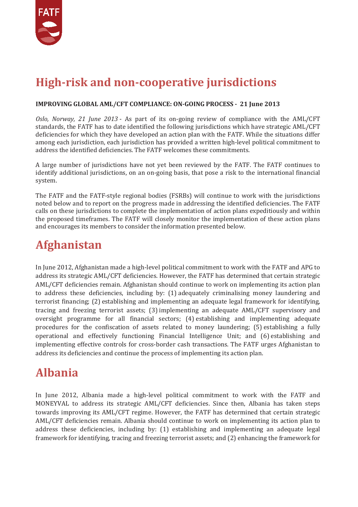

# **High-risk and non-cooperative jurisdictions**

#### **IMPROVING GLOBAL AML/CFT COMPLIANCE: ON-GOING PROCESS - 21 June 2013**

*Oslo, Norway, 21 June 2013* - As part of its on-going review of compliance with the AML/CFT standards, the FATF has to date identified the following jurisdictions which have strategic AML/CFT deficiencies for which they have developed an action plan with the FATF. While the situations differ among each jurisdiction, each jurisdiction has provided a written high-level political commitment to address the identified deficiencies. The FATF welcomes these commitments.

A large number of jurisdictions have not yet been reviewed by the FATF. The FATF continues to identify additional jurisdictions, on an on-going basis, that pose a risk to the international financial system.

The FATF and the FATF-style regional bodies (FSRBs) will continue to work with the jurisdictions noted below and to report on the progress made in addressing the identified deficiencies. The FATF calls on these jurisdictions to complete the implementation of action plans expeditiously and within the proposed timeframes. The FATF will closely monitor the implementation of these action plans and encourages its members to consider the information presented below.

### **Afghanistan**

In June 2012, Afghanistan made a high-level political commitment to work with the FATF and APG to address its strategic AML/CFT deficiencies. However, the FATF has determined that certain strategic AML/CFT deficiencies remain. Afghanistan should continue to work on implementing its action plan to address these deficiencies, including by: (1) adequately criminalising money laundering and terrorist financing; (2) establishing and implementing an adequate legal framework for identifying, tracing and freezing terrorist assets; (3) implementing an adequate AML/CFT supervisory and oversight programme for all financial sectors; (4) establishing and implementing adequate procedures for the confiscation of assets related to money laundering; (5) establishing a fully operational and effectively functioning Financial Intelligence Unit; and (6) establishing and implementing effective controls for cross-border cash transactions. The FATF urges Afghanistan to address its deficiencies and continue the process of implementing its action plan.

### **Albania**

In June 2012, Albania made a high-level political commitment to work with the FATF and MONEYVAL to address its strategic AML/CFT deficiencies. Since then, Albania has taken steps towards improving its AML/CFT regime. However, the FATF has determined that certain strategic AML/CFT deficiencies remain. Albania should continue to work on implementing its action plan to address these deficiencies, including by: (1) establishing and implementing an adequate legal framework for identifying, tracing and freezing terrorist assets; and (2) enhancing the framework for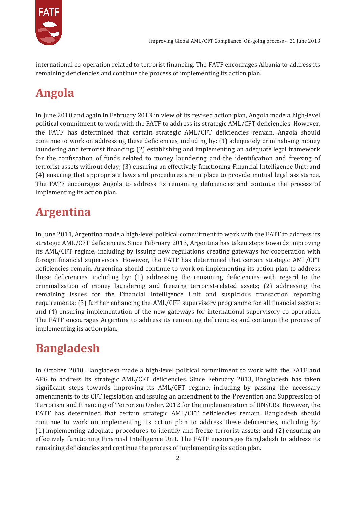

international co-operation related to terrorist financing. The FATF encourages Albania to address its remaining deficiencies and continue the process of implementing its action plan.

# **Angola**

In June 2010 and again in February 2013 in view of its revised action plan, Angola made a high-level political commitment to work with the FATF to address its strategic AML/CFT deficiencies. However, the FATF has determined that certain strategic AML/CFT deficiencies remain. Angola should continue to work on addressing these deficiencies, including by: (1) adequately criminalising money laundering and terrorist financing; (2) establishing and implementing an adequate legal framework for the confiscation of funds related to money laundering and the identification and freezing of terrorist assets without delay; (3) ensuring an effectively functioning Financial Intelligence Unit; and (4) ensuring that appropriate laws and procedures are in place to provide mutual legal assistance. The FATF encourages Angola to address its remaining deficiencies and continue the process of implementing its action plan.

# **Argentina**

In June 2011, Argentina made a high-level political commitment to work with the FATF to address its strategic AML/CFT deficiencies. Since February 2013, Argentina has taken steps towards improving its AML/CFT regime, including by issuing new regulations creating gateways for cooperation with foreign financial supervisors. However, the FATF has determined that certain strategic AML/CFT deficiencies remain. Argentina should continue to work on implementing its action plan to address these deficiencies, including by: (1) addressing the remaining deficiencies with regard to the criminalisation of money laundering and freezing terrorist-related assets; (2) addressing the remaining issues for the Financial Intelligence Unit and suspicious transaction reporting requirements; (3) further enhancing the AML/CFT supervisory programme for all financial sectors; and (4) ensuring implementation of the new gateways for international supervisory co-operation. The FATF encourages Argentina to address its remaining deficiencies and continue the process of implementing its action plan.

# **Bangladesh**

In October 2010, Bangladesh made a high-level political commitment to work with the FATF and APG to address its strategic AML/CFT deficiencies. Since February 2013, Bangladesh has taken significant steps towards improving its AML/CFT regime, including by passing the necessary amendments to its CFT legislation and issuing an amendment to the Prevention and Suppression of Terrorism and Financing of Terrorism Order, 2012 for the implementation of UNSCRs. However, the FATF has determined that certain strategic AML/CFT deficiencies remain. Bangladesh should continue to work on implementing its action plan to address these deficiencies, including by: (1) implementing adequate procedures to identify and freeze terrorist assets; and (2) ensuring an effectively functioning Financial Intelligence Unit. The FATF encourages Bangladesh to address its remaining deficiencies and continue the process of implementing its action plan.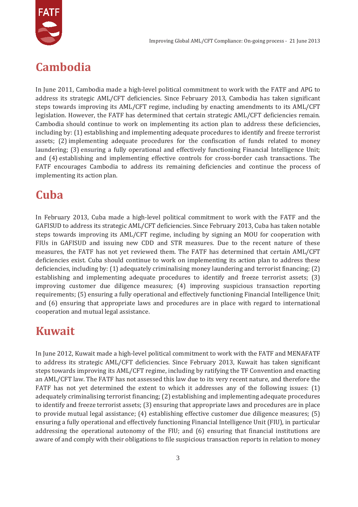

# **Cambodia**

In June 2011, Cambodia made a high-level political commitment to work with the FATF and APG to address its strategic AML/CFT deficiencies. Since February 2013, Cambodia has taken significant steps towards improving its AML/CFT regime, including by enacting amendments to its AML/CFT legislation. However, the FATF has determined that certain strategic AML/CFT deficiencies remain. Cambodia should continue to work on implementing its action plan to address these deficiencies, including by: (1) establishing and implementing adequate procedures to identify and freeze terrorist assets; (2) implementing adequate procedures for the confiscation of funds related to money laundering; (3) ensuring a fully operational and effectively functioning Financial Intelligence Unit; and (4) establishing and implementing effective controls for cross-border cash transactions. The FATF encourages Cambodia to address its remaining deficiencies and continue the process of implementing its action plan.

### **Cuba**

In February 2013, Cuba made a high-level political commitment to work with the FATF and the GAFISUD to address its strategic AML/CFT deficiencies. Since February 2013, Cuba has taken notable steps towards improving its AML/CFT regime, including by signing an MOU for cooperation with FIUs in GAFISUD and issuing new CDD and STR measures. Due to the recent nature of these measures, the FATF has not yet reviewed them. The FATF has determined that certain AML/CFT deficiencies exist. Cuba should continue to work on implementing its action plan to address these deficiencies, including by: (1) adequately criminalising money laundering and terrorist financing; (2) establishing and implementing adequate procedures to identify and freeze terrorist assets; (3) improving customer due diligence measures; (4) improving suspicious transaction reporting requirements; (5) ensuring a fully operational and effectively functioning Financial Intelligence Unit; and (6) ensuring that appropriate laws and procedures are in place with regard to international cooperation and mutual legal assistance.

# **Kuwait**

In June 2012, Kuwait made a high-level political commitment to work with the FATF and MENAFATF to address its strategic AML/CFT deficiencies. Since February 2013, Kuwait has taken significant steps towards improving its AML/CFT regime, including by ratifying the TF Convention and enacting an AML/CFT law. The FATF has not assessed this law due to its very recent nature, and therefore the FATF has not yet determined the extent to which it addresses any of the following issues: (1) adequately criminalising terrorist financing; (2) establishing and implementing adequate procedures to identify and freeze terrorist assets; (3) ensuring that appropriate laws and procedures are in place to provide mutual legal assistance; (4) establishing effective customer due diligence measures; (5) ensuring a fully operational and effectively functioning Financial Intelligence Unit (FIU), in particular addressing the operational autonomy of the FIU; and (6) ensuring that financial institutions are aware of and comply with their obligations to file suspicious transaction reports in relation to money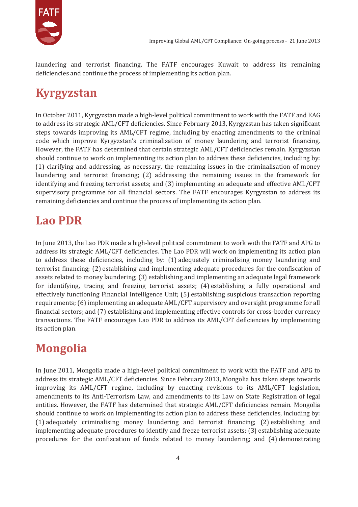

laundering and terrorist financing. The FATF encourages Kuwait to address its remaining deficiencies and continue the process of implementing its action plan.

# **Kyrgyzstan**

In October 2011, Kyrgyzstan made a high-level political commitment to work with the FATF and EAG to address its strategic AML/CFT deficiencies. Since February 2013, Kyrgyzstan has taken significant steps towards improving its AML/CFT regime, including by enacting amendments to the criminal code which improve Kyrgyzstan's criminalisation of money laundering and terrorist financing. However, the FATF has determined that certain strategic AML/CFT deficiencies remain. Kyrgyzstan should continue to work on implementing its action plan to address these deficiencies, including by: (1) clarifying and addressing, as necessary, the remaining issues in the criminalisation of money laundering and terrorist financing; (2) addressing the remaining issues in the framework for identifying and freezing terrorist assets; and (3) implementing an adequate and effective AML/CFT supervisory programme for all financial sectors. The FATF encourages Kyrgyzstan to address its remaining deficiencies and continue the process of implementing its action plan.

# **Lao PDR**

In June 2013, the Lao PDR made a high-level political commitment to work with the FATF and APG to address its strategic AML/CFT deficiencies. The Lao PDR will work on implementing its action plan to address these deficiencies, including by: (1) adequately criminalising money laundering and terrorist financing; (2) establishing and implementing adequate procedures for the confiscation of assets related to money laundering; (3) establishing and implementing an adequate legal framework for identifying, tracing and freezing terrorist assets; (4) establishing a fully operational and effectively functioning Financial Intelligence Unit; (5) establishing suspicious transaction reporting requirements; (6) implementing an adequate AML/CFT supervisory and oversight programme for all financial sectors; and (7) establishing and implementing effective controls for cross-border currency transactions. The FATF encourages Lao PDR to address its AML/CFT deficiencies by implementing its action plan.

# **Mongolia**

In June 2011, Mongolia made a high-level political commitment to work with the FATF and APG to address its strategic AML/CFT deficiencies. Since February 2013, Mongolia has taken steps towards improving its AML/CFT regime, including by enacting revisions to its AML/CFT legislation, amendments to its Anti-Terrorism Law, and amendments to its Law on State Registration of legal entities. However, the FATF has determined that strategic AML/CFT deficiencies remain. Mongolia should continue to work on implementing its action plan to address these deficiencies, including by: (1) adequately criminalising money laundering and terrorist financing; (2) establishing and implementing adequate procedures to identify and freeze terrorist assets; (3) establishing adequate procedures for the confiscation of funds related to money laundering; and (4) demonstrating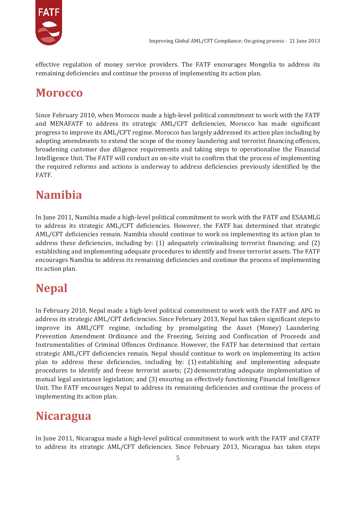

effective regulation of money service providers. The FATF encourages Mongolia to address its remaining deficiencies and continue the process of implementing its action plan.

#### **Morocco**

Since February 2010, when Morocco made a high-level political commitment to work with the FATF and MENAFATF to address its strategic AML/CFT deficiencies, Morocco has made significant progress to improve its AML/CFT regime. Morocco has largely addressed its action plan including by adopting amendments to extend the scope of the money laundering and terrorist financing offences, broadening customer due diligence requirements and taking steps to operationalise the Financial Intelligence Unit. The FATF will conduct an on-site visit to confirm that the process of implementing the required reforms and actions is underway to address deficiencies previously identified by the FATF.

# **Namibia**

In June 2011, Namibia made a high-level political commitment to work with the FATF and ESAAMLG to address its strategic AML/CFT deficiencies. However, the FATF has determined that strategic AML/CFT deficiencies remain. Namibia should continue to work on implementing its action plan to address these deficiencies, including by: (1) adequately criminalising terrorist financing; and (2) establishing and implementing adequate procedures to identify and freeze terrorist assets. The FATF encourages Namibia to address its remaining deficiencies and continue the process of implementing its action plan.

# **Nepal**

In February 2010, Nepal made a high-level political commitment to work with the FATF and APG to address its strategic AML/CFT deficiencies. Since February 2013, Nepal has taken significant steps to improve its AML/CFT regime, including by promulgating the Asset (Money) Laundering Prevention Amendment Ordinance and the Freezing, Seizing and Confiscation of Proceeds and Instrumentalities of Criminal Offences Ordinance. However, the FATF has determined that certain strategic AML/CFT deficiencies remain. Nepal should continue to work on implementing its action plan to address these deficiencies, including by: (1) establishing and implementing adequate procedures to identify and freeze terrorist assets; (2) demonstrating adequate implementation of mutual legal assistance legislation; and (3) ensuring an effectively functioning Financial Intelligence Unit. The FATF encourages Nepal to address its remaining deficiencies and continue the process of implementing its action plan.

#### **Nicaragua**

In June 2011, Nicaragua made a high-level political commitment to work with the FATF and CFATF to address its strategic AML/CFT deficiencies. Since February 2013, Nicaragua has taken steps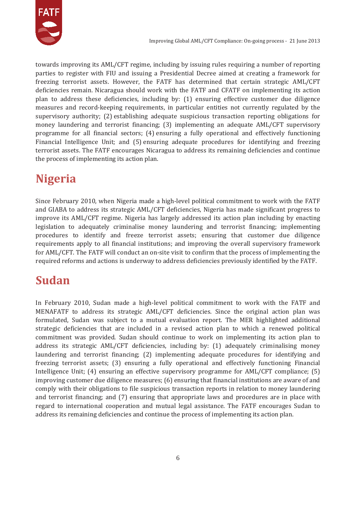

towards improving its AML/CFT regime, including by issuing rules requiring a number of reporting parties to register with FIU and issuing a Presidential Decree aimed at creating a framework for freezing terrorist assets. However, the FATF has determined that certain strategic AML/CFT deficiencies remain. Nicaragua should work with the FATF and CFATF on implementing its action plan to address these deficiencies, including by: (1) ensuring effective customer due diligence measures and record-keeping requirements, in particular entities not currently regulated by the supervisory authority; (2) establishing adequate suspicious transaction reporting obligations for money laundering and terrorist financing; (3) implementing an adequate AML/CFT supervisory programme for all financial sectors; (4) ensuring a fully operational and effectively functioning Financial Intelligence Unit; and (5) ensuring adequate procedures for identifying and freezing terrorist assets. The FATF encourages Nicaragua to address its remaining deficiencies and continue the process of implementing its action plan.

# **Nigeria**

Since February 2010, when Nigeria made a high-level political commitment to work with the FATF and GIABA to address its strategic AML/CFT deficiencies, Nigeria has made significant progress to improve its AML/CFT regime. Nigeria has largely addressed its action plan including by enacting legislation to adequately criminalise money laundering and terrorist financing; implementing procedures to identify and freeze terrorist assets; ensuring that customer due diligence requirements apply to all financial institutions; and improving the overall supervisory framework for AML/CFT. The FATF will conduct an on-site visit to confirm that the process of implementing the required reforms and actions is underway to address deficiencies previously identified by the FATF.

# **Sudan**

In February 2010, Sudan made a high-level political commitment to work with the FATF and MENAFATF to address its strategic AML/CFT deficiencies. Since the original action plan was formulated, Sudan was subject to a mutual evaluation report. The MER highlighted additional strategic deficiencies that are included in a revised action plan to which a renewed political commitment was provided. Sudan should continue to work on implementing its action plan to address its strategic AML/CFT deficiencies, including by: (1) adequately criminalising money laundering and terrorist financing; (2) implementing adequate procedures for identifying and freezing terrorist assets; (3) ensuring a fully operational and effectively functioning Financial Intelligence Unit; (4) ensuring an effective supervisory programme for AML/CFT compliance; (5) improving customer due diligence measures; (6) ensuring that financial institutions are aware of and comply with their obligations to file suspicious transaction reports in relation to money laundering and terrorist financing; and (7) ensuring that appropriate laws and procedures are in place with regard to international cooperation and mutual legal assistance. The FATF encourages Sudan to address its remaining deficiencies and continue the process of implementing its action plan.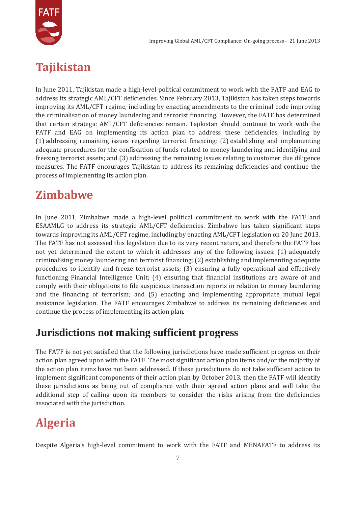

# **Tajikistan**

In June 2011, Tajikistan made a high-level political commitment to work with the FATF and EAG to address its strategic AML/CFT deficiencies. Since February 2013, Tajikistan has taken steps towards improving its AML/CFT regime, including by enacting amendments to the criminal code improving the criminalisation of money laundering and terrorist financing. However, the FATF has determined that certain strategic AML/CFT deficiencies remain. Tajikistan should continue to work with the FATF and EAG on implementing its action plan to address these deficiencies, including by (1) addressing remaining issues regarding terrorist financing; (2) establishing and implementing adequate procedures for the confiscation of funds related to money laundering and identifying and freezing terrorist assets; and (3) addressing the remaining issues relating to customer due diligence measures. The FATF encourages Tajikistan to address its remaining deficiencies and continue the process of implementing its action plan.

# **Zimbabwe**

In June 2011, Zimbabwe made a high-level political commitment to work with the FATF and ESAAMLG to address its strategic AML/CFT deficiencies. Zimbabwe has taken significant steps towards improving its AML/CFT regime, including by enacting AML/CFT legislation on 20 June 2013. The FATF has not assessed this legislation due to its very recent nature, and therefore the FATF has not yet determined the extent to which it addresses any of the following issues: (1) adequately criminalising money laundering and terrorist financing; (2) establishing and implementing adequate procedures to identify and freeze terrorist assets; (3) ensuring a fully operational and effectively functioning Financial Intelligence Unit; (4) ensuring that financial institutions are aware of and comply with their obligations to file suspicious transaction reports in relation to money laundering and the financing of terrorism; and (5) enacting and implementing appropriate mutual legal assistance legislation. The FATF encourages Zimbabwe to address its remaining deficiencies and continue the process of implementing its action plan.

#### **Jurisdictions not making sufficient progress**

The FATF is not yet satisfied that the following jurisdictions have made sufficient progress on their action plan agreed upon with the FATF. The most significant action plan items and/or the majority of the action plan items have not been addressed. If these jurisdictions do not take sufficient action to implement significant components of their action plan by October 2013, then the FATF will identify these jurisdictions as being out of compliance with their agreed action plans and will take the additional step of calling upon its members to consider the risks arising from the deficiencies associated with the jurisdiction.

# **Algeria**

Despite Algeria's high-level commitment to work with the FATF and MENAFATF to address its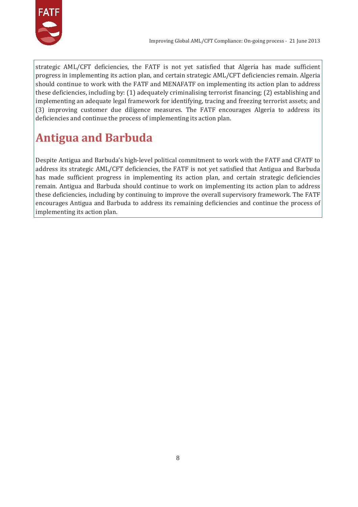

strategic AML/CFT deficiencies, the FATF is not yet satisfied that Algeria has made sufficient progress in implementing its action plan, and certain strategic AML/CFT deficiencies remain. Algeria should continue to work with the FATF and MENAFATF on implementing its action plan to address these deficiencies, including by: (1) adequately criminalising terrorist financing; (2) establishing and implementing an adequate legal framework for identifying, tracing and freezing terrorist assets; and (3) improving customer due diligence measures. The FATF encourages Algeria to address its deficiencies and continue the process of implementing its action plan.

# **Antigua and Barbuda**

Despite Antigua and Barbuda's high-level political commitment to work with the FATF and CFATF to address its strategic AML/CFT deficiencies, the FATF is not yet satisfied that Antigua and Barbuda has made sufficient progress in implementing its action plan, and certain strategic deficiencies remain. Antigua and Barbuda should continue to work on implementing its action plan to address these deficiencies, including by continuing to improve the overall supervisory framework. The FATF encourages Antigua and Barbuda to address its remaining deficiencies and continue the process of implementing its action plan.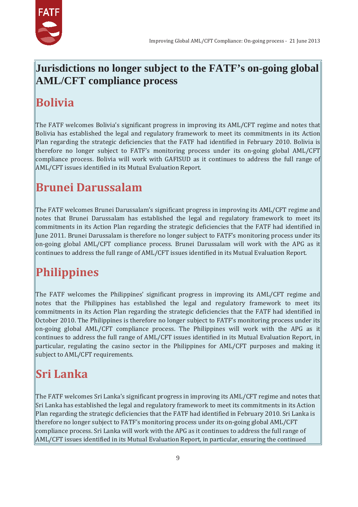

#### **Jurisdictions no longer subject to the FATF's on-going global AML/CFT compliance process**

# **Bolivia**

The FATF welcomes Bolivia's significant progress in improving its AML/CFT regime and notes that Bolivia has established the legal and regulatory framework to meet its commitments in its Action Plan regarding the strategic deficiencies that the FATF had identified in February 2010. Bolivia is therefore no longer subject to FATF's monitoring process under its on-going global AML/CFT compliance process. Bolivia will work with GAFISUD as it continues to address the full range of AML/CFT issues identified in its Mutual Evaluation Report.

# **Brunei Darussalam**

The FATF welcomes Brunei Darussalam's significant progress in improving its AML/CFT regime and notes that Brunei Darussalam has established the legal and regulatory framework to meet its commitments in its Action Plan regarding the strategic deficiencies that the FATF had identified in June 2011. Brunei Darussalam is therefore no longer subject to FATF's monitoring process under its on-going global AML/CFT compliance process. Brunei Darussalam will work with the APG as it continues to address the full range of AML/CFT issues identified in its Mutual Evaluation Report.

# **Philippines**

The FATF welcomes the Philippines' significant progress in improving its AML/CFT regime and notes that the Philippines has established the legal and regulatory framework to meet its commitments in its Action Plan regarding the strategic deficiencies that the FATF had identified in October 2010. The Philippines is therefore no longer subject to FATF's monitoring process under its on-going global AML/CFT compliance process. The Philippines will work with the APG as it continues to address the full range of AML/CFT issues identified in its Mutual Evaluation Report, in particular, regulating the casino sector in the Philippines for AML/CFT purposes and making it subject to AML/CFT requirements.

# **Sri Lanka**

The FATF welcomes Sri Lanka's significant progress in improving its AML/CFT regime and notes that Sri Lanka has established the legal and regulatory framework to meet its commitments in its Action Plan regarding the strategic deficiencies that the FATF had identified in February 2010. Sri Lanka is therefore no longer subject to FATF's monitoring process under its on-going global AML/CFT compliance process. Sri Lanka will work with the APG as it continues to address the full range of AML/CFT issues identified in its Mutual Evaluation Report, in particular, ensuring the continued